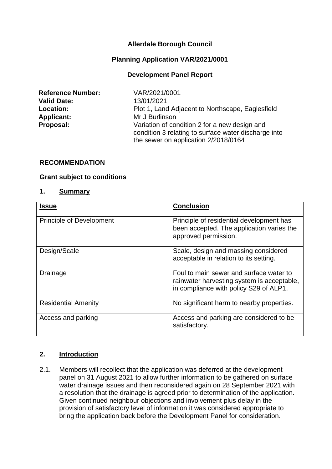## **Allerdale Borough Council**

#### **Planning Application VAR/2021/0001**

#### **Development Panel Report**

| <b>Reference Number:</b> |
|--------------------------|
| <b>Valid Date:</b>       |
| <b>Location:</b>         |
| <b>Applicant:</b>        |
| Proposal:                |

**Reference Number:** VAR/2021/0001 **Valid Date:** 13/01/2021 Plot 1, Land Adjacent to Northscape, Eaglesfield **Applicant:** Mr J Burlinson Variation of condition 2 for a new design and condition 3 relating to surface water discharge into the sewer on application 2/2018/0164

#### **RECOMMENDATION**

#### **Grant subject to conditions**

#### **1. Summary**

| <b>Issue</b>                    | <b>Conclusion</b>                                                                                                               |
|---------------------------------|---------------------------------------------------------------------------------------------------------------------------------|
| <b>Principle of Development</b> | Principle of residential development has<br>been accepted. The application varies the<br>approved permission.                   |
| Design/Scale                    | Scale, design and massing considered<br>acceptable in relation to its setting.                                                  |
| Drainage                        | Foul to main sewer and surface water to<br>rainwater harvesting system is acceptable,<br>in compliance with policy S29 of ALP1. |
| <b>Residential Amenity</b>      | No significant harm to nearby properties.                                                                                       |
| Access and parking              | Access and parking are considered to be<br>satisfactory.                                                                        |

#### **2. Introduction**

2.1. Members will recollect that the application was deferred at the development panel on 31 August 2021 to allow further information to be gathered on surface water drainage issues and then reconsidered again on 28 September 2021 with a resolution that the drainage is agreed prior to determination of the application. Given continued neighbour objections and involvement plus delay in the provision of satisfactory level of information it was considered appropriate to bring the application back before the Development Panel for consideration.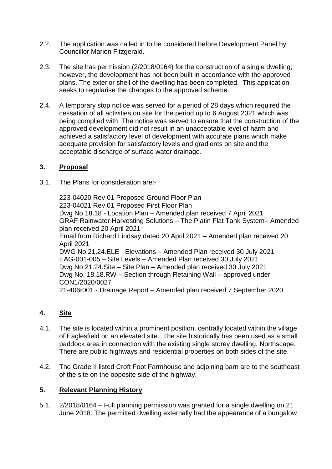- 2.2. The application was called in to be considered before Development Panel by Councillor Marion Fitzgerald.
- 2.3. The site has permission (2/2018/0164) for the construction of a single dwelling; however, the development has not been built in accordance with the approved plans. The exterior shell of the dwelling has been completed. This application seeks to regularise the changes to the approved scheme.
- 2.4. A temporary stop notice was served for a period of 28 days which required the cessation of all activities on site for the period up to 6 August 2021 which was being complied with. The notice was served to ensure that the construction of the approved development did not result in an unacceptable level of harm and achieved a satisfactory level of development with accurate plans which make adequate provision for satisfactory levels and gradients on site and the acceptable discharge of surface water drainage.

### **3. Proposal**

3.1. The Plans for consideration are:-

223-04020 Rev 01 Proposed Ground Floor Plan 223-04021 Rev 01 Proposed First Floor Plan Dwg No 18.18 - Location Plan – Amended plan received 7 April 2021 GRAF Rainwater Harvesting Solutions – The Platin Flat Tank System– Amended plan received 20 April 2021 Email from Richard Lindsay dated 20 April 2021 – Amended plan received 20 April 2021 DWG No 21.24.ELE - Elevations – Amended Plan received 30 July 2021 EAG-001-005 – Site Levels – Amended Plan received 30 July 2021 Dwg No 21.24.Site – Site Plan – Amended plan received 30 July 2021 Dwg No. 18.18.RW – Section through Retaining Wall – approved under CON1/2020/0027 21-406r001 - Drainage Report – Amended plan received 7 September 2020

# **4. Site**

- 4.1. The site is located within a prominent position, centrally located within the village of Eaglesfield on an elevated site. The site historically has been used as a small paddock area in connection with the existing single storey dwelling, Northscape. There are public highways and residential properties on both sides of the site.
- 4.2. The Grade II listed Croft Foot Farmhouse and adjoining barn are to the southeast of the site on the opposite side of the highway.

# **5. Relevant Planning History**

5.1. 2/2018/0164 – Full planning permission was granted for a single dwelling on 21 June 2018. The permitted dwelling externally had the appearance of a bungalow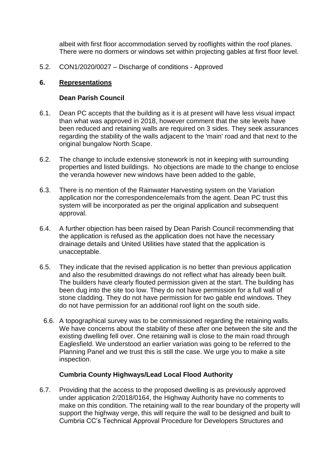albeit with first floor accommodation served by rooflights within the roof planes. There were no dormers or windows set within projecting gables at first floor level.

5.2. CON1/2020/0027 – Discharge of conditions - Approved

## **6. Representations**

### **Dean Parish Council**

- 6.1. Dean PC accepts that the building as it is at present will have less visual impact than what was approved in 2018, however comment that the site levels have been reduced and retaining walls are required on 3 sides. They seek assurances regarding the stability of the walls adjacent to the 'main' road and that next to the original bungalow North Scape.
- 6.2. The change to include extensive stonework is not in keeping with surrounding properties and listed buildings. No objections are made to the change to enclose the veranda however new windows have been added to the gable,
- 6.3. There is no mention of the Rainwater Harvesting system on the Variation application nor the correspondence/emails from the agent. Dean PC trust this system will be incorporated as per the original application and subsequent approval.
- 6.4. A further objection has been raised by Dean Parish Council recommending that the application is refused as the application does not have the necessary drainage details and United Utilities have stated that the application is unacceptable.
- 6.5. They indicate that the revised application is no better than previous application and also the resubmitted drawings do not reflect what has already been built. The builders have clearly flouted permission given at the start. The building has been dug into the site too low. They do not have permission for a full wall of stone cladding. They do not have permission for two gable end windows. They do not have permission for an additional roof light on the south side.
	- 6.6. A topographical survey was to be commissioned regarding the retaining walls. We have concerns about the stability of these after one between the site and the existing dwelling fell over. One retaining wall is close to the main road through Eaglesfield. We understood an earlier variation was going to be referred to the Planning Panel and we trust this is still the case. We urge you to make a site inspection.

### **Cumbria County Highways/Lead Local Flood Authority**

6.7. Providing that the access to the proposed dwelling is as previously approved under application 2/2018/0164, the Highway Authority have no comments to make on this condition. The retaining wall to the rear boundary of the property will support the highway verge, this will require the wall to be designed and built to Cumbria CC's Technical Approval Procedure for Developers Structures and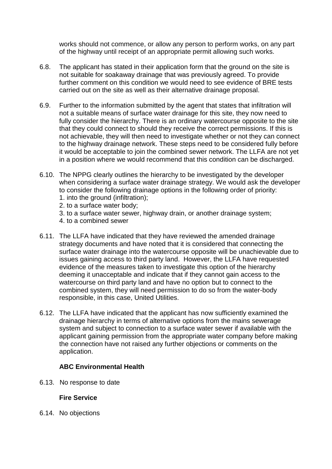works should not commence, or allow any person to perform works, on any part of the highway until receipt of an appropriate permit allowing such works.

- 6.8. The applicant has stated in their application form that the ground on the site is not suitable for soakaway drainage that was previously agreed. To provide further comment on this condition we would need to see evidence of BRE tests carried out on the site as well as their alternative drainage proposal.
- 6.9. Further to the information submitted by the agent that states that infiltration will not a suitable means of surface water drainage for this site, they now need to fully consider the hierarchy. There is an ordinary watercourse opposite to the site that they could connect to should they receive the correct permissions. If this is not achievable, they will then need to investigate whether or not they can connect to the highway drainage network. These steps need to be considered fully before it would be acceptable to join the combined sewer network. The LLFA are not yet in a position where we would recommend that this condition can be discharged.
- 6.10. The NPPG clearly outlines the hierarchy to be investigated by the developer when considering a surface water drainage strategy. We would ask the developer to consider the following drainage options in the following order of priority: 1. into the ground (infiltration);
	- 2. to a surface water body;
	- 3. to a surface water sewer, highway drain, or another drainage system;
	- 4. to a combined sewer
- 6.11. The LLFA have indicated that they have reviewed the amended drainage strategy documents and have noted that it is considered that connecting the surface water drainage into the watercourse opposite will be unachievable due to issues gaining access to third party land. However, the LLFA have requested evidence of the measures taken to investigate this option of the hierarchy deeming it unacceptable and indicate that if they cannot gain access to the watercourse on third party land and have no option but to connect to the combined system, they will need permission to do so from the water-body responsible, in this case, United Utilities.
- 6.12. The LLFA have indicated that the applicant has now sufficiently examined the drainage hierarchy in terms of alternative options from the mains sewerage system and subject to connection to a surface water sewer if available with the applicant gaining permission from the appropriate water company before making the connection have not raised any further objections or comments on the application.

# **ABC Environmental Health**

6.13. No response to date

# **Fire Service**

6.14. No objections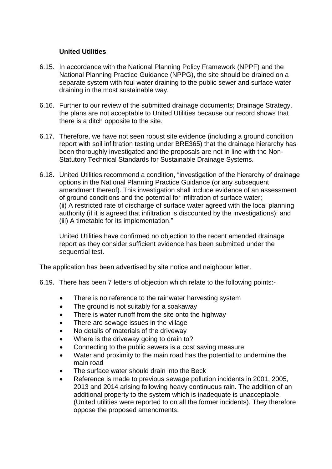### **United Utilities**

- 6.15. In accordance with the National Planning Policy Framework (NPPF) and the National Planning Practice Guidance (NPPG), the site should be drained on a separate system with foul water draining to the public sewer and surface water draining in the most sustainable way.
- 6.16. Further to our review of the submitted drainage documents; Drainage Strategy, the plans are not acceptable to United Utilities because our record shows that there is a ditch opposite to the site.
- 6.17. Therefore, we have not seen robust site evidence (including a ground condition report with soil infiltration testing under BRE365) that the drainage hierarchy has been thoroughly investigated and the proposals are not in line with the Non-Statutory Technical Standards for Sustainable Drainage Systems.
- 6.18. United Utilities recommend a condition, "investigation of the hierarchy of drainage options in the National Planning Practice Guidance (or any subsequent amendment thereof). This investigation shall include evidence of an assessment of ground conditions and the potential for infiltration of surface water; (ii) A restricted rate of discharge of surface water agreed with the local planning authority (if it is agreed that infiltration is discounted by the investigations); and (iii) A timetable for its implementation."

United Utilities have confirmed no objection to the recent amended drainage report as they consider sufficient evidence has been submitted under the sequential test.

The application has been advertised by site notice and neighbour letter.

- 6.19. There has been 7 letters of objection which relate to the following points:-
	- There is no reference to the rainwater harvesting system
	- The ground is not suitably for a soakaway
	- There is water runoff from the site onto the highway
	- There are sewage issues in the village
	- No details of materials of the driveway
	- Where is the driveway going to drain to?
	- Connecting to the public sewers is a cost saving measure
	- Water and proximity to the main road has the potential to undermine the main road
	- The surface water should drain into the Beck
	- Reference is made to previous sewage pollution incidents in 2001, 2005, 2013 and 2014 arising following heavy continuous rain. The addition of an additional property to the system which is inadequate is unacceptable. (United utilities were reported to on all the former incidents). They therefore oppose the proposed amendments.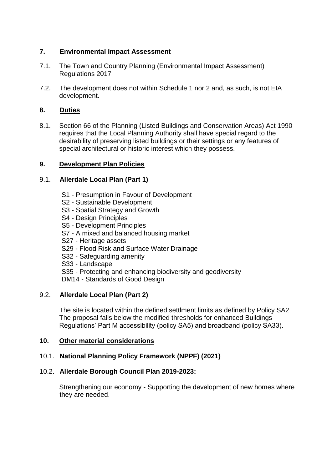# **7. Environmental Impact Assessment**

- 7.1. The Town and Country Planning (Environmental Impact Assessment) Regulations 2017
- 7.2. The development does not within Schedule 1 nor 2 and, as such, is not EIA development.

### **8. Duties**

8.1. Section 66 of the Planning (Listed Buildings and Conservation Areas) Act 1990 requires that the Local Planning Authority shall have special regard to the desirability of preserving listed buildings or their settings or any features of special architectural or historic interest which they possess.

### **9. Development Plan Policies**

### 9.1. **Allerdale Local Plan (Part 1)**

- S1 Presumption in Favour of Development
- S2 Sustainable Development
- S3 Spatial Strategy and Growth
- S4 Design Principles
- S5 Development Principles
- S7 A mixed and balanced housing market
- S27 Heritage assets
- S29 Flood Risk and Surface Water Drainage
- S32 Safeguarding amenity
- S33 Landscape
- S35 Protecting and enhancing biodiversity and geodiversity
- DM14 Standards of Good Design

### 9.2. **Allerdale Local Plan (Part 2)**

The site is located within the defined settlment limits as defined by Policy SA2 The proposal falls below the modified thresholds for enhanced Buildings Regulations' Part M accessibility (policy SA5) and broadband (policy SA33).

### **10. Other material considerations**

### 10.1. **National Planning Policy Framework (NPPF) (2021)**

### 10.2. **Allerdale Borough Council Plan 2019-2023:**

Strengthening our economy - Supporting the development of new homes where they are needed.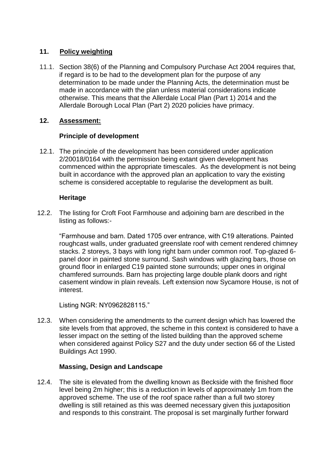# **11. Policy weighting**

11.1. Section 38(6) of the Planning and Compulsory Purchase Act 2004 requires that, if regard is to be had to the development plan for the purpose of any determination to be made under the Planning Acts, the determination must be made in accordance with the plan unless material considerations indicate otherwise. This means that the Allerdale Local Plan (Part 1) 2014 and the Allerdale Borough Local Plan (Part 2) 2020 policies have primacy.

# **12. Assessment:**

# **Principle of development**

12.1. The principle of the development has been considered under application 2/20018/0164 with the permission being extant given development has commenced within the appropriate timescales. As the development is not being built in accordance with the approved plan an application to vary the existing scheme is considered acceptable to regularise the development as built.

# **Heritage**

12.2. The listing for Croft Foot Farmhouse and adjoining barn are described in the listing as follows:-

"Farmhouse and barn. Dated 1705 over entrance, with C19 alterations. Painted roughcast walls, under graduated greenslate roof with cement rendered chimney stacks. 2 storeys, 3 bays with long right barn under common roof. Top-glazed 6 panel door in painted stone surround. Sash windows with glazing bars, those on ground floor in enlarged C19 painted stone surrounds; upper ones in original chamfered surrounds. Barn has projecting large double plank doors and right casement window in plain reveals. Left extension now Sycamore House, is not of interest.

Listing NGR: NY0962828115."

12.3. When considering the amendments to the current design which has lowered the site levels from that approved, the scheme in this context is considered to have a lesser impact on the setting of the listed building than the approved scheme when considered against Policy S27 and the duty under section 66 of the Listed Buildings Act 1990.

# **Massing, Design and Landscape**

12.4. The site is elevated from the dwelling known as Beckside with the finished floor level being 2m higher; this is a reduction in levels of approximately 1m from the approved scheme. The use of the roof space rather than a full two storey dwelling is still retained as this was deemed necessary given this juxtaposition and responds to this constraint. The proposal is set marginally further forward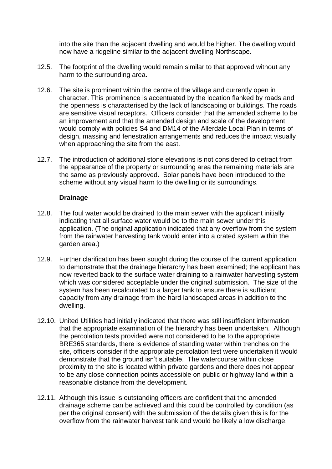into the site than the adjacent dwelling and would be higher. The dwelling would now have a ridgeline similar to the adjacent dwelling Northscape.

- 12.5. The footprint of the dwelling would remain similar to that approved without any harm to the surrounding area.
- 12.6. The site is prominent within the centre of the village and currently open in character. This prominence is accentuated by the location flanked by roads and the openness is characterised by the lack of landscaping or buildings. The roads are sensitive visual receptors. Officers consider that the amended scheme to be an improvement and that the amended design and scale of the development would comply with policies S4 and DM14 of the Allerdale Local Plan in terms of design, massing and fenestration arrangements and reduces the impact visually when approaching the site from the east.
- 12.7. The introduction of additional stone elevations is not considered to detract from the appearance of the property or surrounding area the remaining materials are the same as previously approved. Solar panels have been introduced to the scheme without any visual harm to the dwelling or its surroundings.

### **Drainage**

- 12.8. The foul water would be drained to the main sewer with the applicant initially indicating that all surface water would be to the main sewer under this application. (The original application indicated that any overflow from the system from the rainwater harvesting tank would enter into a crated system within the garden area.)
- 12.9. Further clarification has been sought during the course of the current application to demonstrate that the drainage hierarchy has been examined; the applicant has now reverted back to the surface water draining to a rainwater harvesting system which was considered acceptable under the original submission. The size of the system has been recalculated to a larger tank to ensure there is sufficient capacity from any drainage from the hard landscaped areas in addition to the dwelling.
- 12.10. United Utilities had initially indicated that there was still insufficient information that the appropriate examination of the hierarchy has been undertaken. Although the percolation tests provided were not considered to be to the appropriate BRE365 standards, there is evidence of standing water within trenches on the site, officers consider if the appropriate percolation test were undertaken it would demonstrate that the ground isn't suitable. The watercourse within close proximity to the site is located within private gardens and there does not appear to be any close connection points accessible on public or highway land within a reasonable distance from the development.
- 12.11. Although this issue is outstanding officers are confident that the amended drainage scheme can be achieved and this could be controlled by condition (as per the original consent) with the submission of the details given this is for the overflow from the rainwater harvest tank and would be likely a low discharge.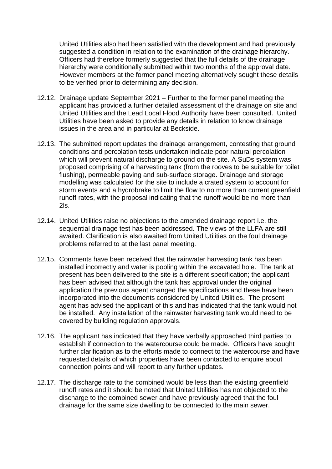United Utilities also had been satisfied with the development and had previously suggested a condition in relation to the examination of the drainage hierarchy. Officers had therefore formerly suggested that the full details of the drainage hierarchy were conditionally submitted within two months of the approval date. However members at the former panel meeting alternatively sought these details to be verified prior to determining any decision.

- 12.12. Drainage update September 2021 Further to the former panel meeting the applicant has provided a further detailed assessment of the drainage on site and United Utilities and the Lead Local Flood Authority have been consulted. United Utilities have been asked to provide any details in relation to know drainage issues in the area and in particular at Beckside.
- 12.13. The submitted report updates the drainage arrangement, contesting that ground conditions and percolation tests undertaken indicate poor natural percolation which will prevent natural discharge to ground on the site. A SuDs system was proposed comprising of a harvesting tank (from the rooves to be suitable for toilet flushing), permeable paving and sub-surface storage. Drainage and storage modelling was calculated for the site to include a crated system to account for storm events and a hydrobrake to limit the flow to no more than current greenfield runoff rates, with the proposal indicating that the runoff would be no more than 2ls.
- 12.14. United Utilities raise no objections to the amended drainage report i.e. the sequential drainage test has been addressed. The views of the LLFA are still awaited. Clarification is also awaited from United Utilities on the foul drainage problems referred to at the last panel meeting.
- 12.15. Comments have been received that the rainwater harvesting tank has been installed incorrectly and water is pooling within the excavated hole. The tank at present has been delivered to the site is a different specification; the applicant has been advised that although the tank has approval under the original application the previous agent changed the specifications and these have been incorporated into the documents considered by United Utilities. The present agent has advised the applicant of this and has indicated that the tank would not be installed. Any installation of the rainwater harvesting tank would need to be covered by building regulation approvals.
- 12.16. The applicant has indicated that they have verbally approached third parties to establish if connection to the watercourse could be made. Officers have sought further clarification as to the efforts made to connect to the watercourse and have requested details of which properties have been contacted to enquire about connection points and will report to any further updates.
- 12.17. The discharge rate to the combined would be less than the existing greenfield runoff rates and it should be noted that United Utilities has not objected to the discharge to the combined sewer and have previously agreed that the foul drainage for the same size dwelling to be connected to the main sewer.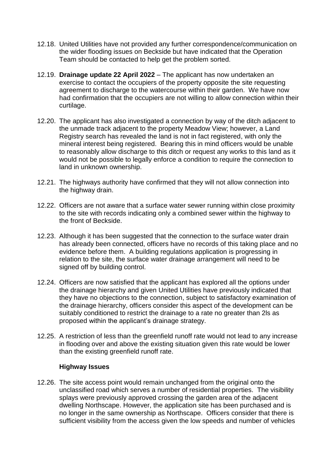- 12.18. United Utilities have not provided any further correspondence/communication on the wider flooding issues on Beckside but have indicated that the Operation Team should be contacted to help get the problem sorted.
- 12.19. **Drainage update 22 April 2022**  The applicant has now undertaken an exercise to contact the occupiers of the property opposite the site requesting agreement to discharge to the watercourse within their garden. We have now had confirmation that the occupiers are not willing to allow connection within their curtilage.
- 12.20. The applicant has also investigated a connection by way of the ditch adjacent to the unmade track adjacent to the property Meadow View; however, a Land Registry search has revealed the land is not in fact registered, with only the mineral interest being registered. Bearing this in mind officers would be unable to reasonably allow discharge to this ditch or request any works to this land as it would not be possible to legally enforce a condition to require the connection to land in unknown ownership.
- 12.21. The highways authority have confirmed that they will not allow connection into the highway drain.
- 12.22. Officers are not aware that a surface water sewer running within close proximity to the site with records indicating only a combined sewer within the highway to the front of Beckside.
- 12.23. Although it has been suggested that the connection to the surface water drain has already been connected, officers have no records of this taking place and no evidence before them. A building regulations application is progressing in relation to the site, the surface water drainage arrangement will need to be signed off by building control.
- 12.24. Officers are now satisfied that the applicant has explored all the options under the drainage hierarchy and given United Utilities have previously indicated that they have no objections to the connection, subject to satisfactory examination of the drainage hierarchy, officers consider this aspect of the development can be suitably conditioned to restrict the drainage to a rate no greater than 2ls as proposed within the applicant's drainage strategy.
- 12.25. A restriction of less than the greenfield runoff rate would not lead to any increase in flooding over and above the existing situation given this rate would be lower than the existing greenfield runoff rate.

### **Highway Issues**

12.26. The site access point would remain unchanged from the original onto the unclassified road which serves a number of residential properties. The visibility splays were previously approved crossing the garden area of the adjacent dwelling Northscape. However, the application site has been purchased and is no longer in the same ownership as Northscape. Officers consider that there is sufficient visibility from the access given the low speeds and number of vehicles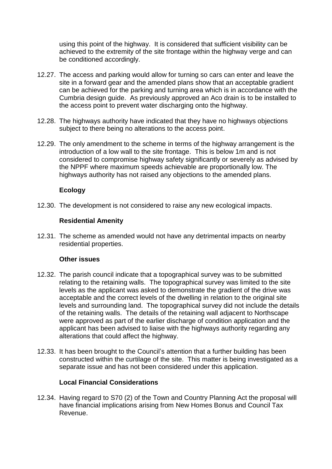using this point of the highway. It is considered that sufficient visibility can be achieved to the extremity of the site frontage within the highway verge and can be conditioned accordingly.

- 12.27. The access and parking would allow for turning so cars can enter and leave the site in a forward gear and the amended plans show that an acceptable gradient can be achieved for the parking and turning area which is in accordance with the Cumbria design guide. As previously approved an Aco drain is to be installed to the access point to prevent water discharging onto the highway.
- 12.28. The highways authority have indicated that they have no highways objections subject to there being no alterations to the access point.
- 12.29. The only amendment to the scheme in terms of the highway arrangement is the introduction of a low wall to the site frontage. This is below 1m and is not considered to compromise highway safety significantly or severely as advised by the NPPF where maximum speeds achievable are proportionally low. The highways authority has not raised any objections to the amended plans.

### **Ecology**

12.30. The development is not considered to raise any new ecological impacts.

### **Residential Amenity**

12.31. The scheme as amended would not have any detrimental impacts on nearby residential properties.

### **Other issues**

- 12.32. The parish council indicate that a topographical survey was to be submitted relating to the retaining walls. The topographical survey was limited to the site levels as the applicant was asked to demonstrate the gradient of the drive was acceptable and the correct levels of the dwelling in relation to the original site levels and surrounding land. The topographical survey did not include the details of the retaining walls. The details of the retaining wall adjacent to Northscape were approved as part of the earlier discharge of condition application and the applicant has been advised to liaise with the highways authority regarding any alterations that could affect the highway.
- 12.33. It has been brought to the Council's attention that a further building has been constructed within the curtilage of the site. This matter is being investigated as a separate issue and has not been considered under this application.

### **Local Financial Considerations**

12.34. Having regard to S70 (2) of the Town and Country Planning Act the proposal will have financial implications arising from New Homes Bonus and Council Tax Revenue.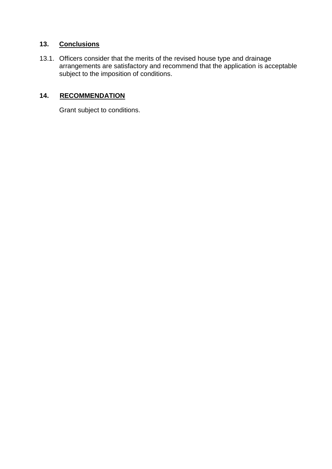# **13. Conclusions**

13.1. Officers consider that the merits of the revised house type and drainage arrangements are satisfactory and recommend that the application is acceptable subject to the imposition of conditions.

# **14. RECOMMENDATION**

Grant subject to conditions.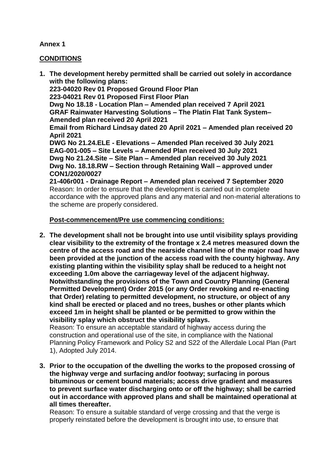## **Annex 1**

### **CONDITIONS**

**1. The development hereby permitted shall be carried out solely in accordance with the following plans: 223-04020 Rev 01 Proposed Ground Floor Plan 223-04021 Rev 01 Proposed First Floor Plan Dwg No 18.18 - Location Plan – Amended plan received 7 April 2021 GRAF Rainwater Harvesting Solutions – The Platin Flat Tank System– Amended plan received 20 April 2021 Email from Richard Lindsay dated 20 April 2021 – Amended plan received 20 April 2021 DWG No 21.24.ELE - Elevations – Amended Plan received 30 July 2021 EAG-001-005 – Site Levels – Amended Plan received 30 July 2021 Dwg No 21.24.Site – Site Plan – Amended plan received 30 July 2021 Dwg No. 18.18.RW – Section through Retaining Wall – approved under CON1/2020/0027 21-406r001 - Drainage Report – Amended plan received 7 September 2020** Reason: In order to ensure that the development is carried out in complete accordance with the approved plans and any material and non-material alterations to the scheme are properly considered.

### **Post-commencement/Pre use commencing conditions:**

**2. The development shall not be brought into use until visibility splays providing clear visibility to the extremity of the frontage x 2.4 metres measured down the centre of the access road and the nearside channel line of the major road have been provided at the junction of the access road with the county highway. Any existing planting within the visibility splay shall be reduced to a height not exceeding 1.0m above the carriageway level of the adjacent highway. Notwithstanding the provisions of the Town and Country Planning (General Permitted Development) Order 2015 (or any Order revoking and re-enacting that Order) relating to permitted development, no structure, or object of any kind shall be erected or placed and no trees, bushes or other plants which exceed 1m in height shall be planted or be permitted to grow within the visibility splay which obstruct the visibility splays.** 

Reason: To ensure an acceptable standard of highway access during the construction and operational use of the site, in compliance with the National Planning Policy Framework and Policy S2 and S22 of the Allerdale Local Plan (Part 1), Adopted July 2014.

**3. Prior to the occupation of the dwelling the works to the proposed crossing of the highway verge and surfacing and/or footway; surfacing in porous bituminous or cement bound materials; access drive gradient and measures to prevent surface water discharging onto or off the highway; shall be carried out in accordance with approved plans and shall be maintained operational at all times thereafter.**

Reason: To ensure a suitable standard of verge crossing and that the verge is properly reinstated before the development is brought into use, to ensure that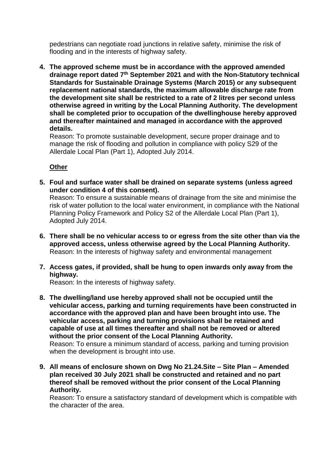pedestrians can negotiate road junctions in relative safety, minimise the risk of flooding and in the interests of highway safety.

**4. The approved scheme must be in accordance with the approved amended drainage report dated 7th September 2021 and with the Non-Statutory technical Standards for Sustainable Drainage Systems (March 2015) or any subsequent replacement national standards, the maximum allowable discharge rate from the development site shall be restricted to a rate of 2 litres per second unless otherwise agreed in writing by the Local Planning Authority. The development shall be completed prior to occupation of the dwellinghouse hereby approved and thereafter maintained and managed in accordance with the approved details.**

Reason: To promote sustainable development, secure proper drainage and to manage the risk of flooding and pollution in compliance with policy S29 of the Allerdale Local Plan (Part 1), Adopted July 2014.

### **Other**

**5. Foul and surface water shall be drained on separate systems (unless agreed under condition 4 of this consent).**

Reason: To ensure a sustainable means of drainage from the site and minimise the risk of water pollution to the local water environment, in compliance with the National Planning Policy Framework and Policy S2 of the Allerdale Local Plan (Part 1), Adopted July 2014.

- **6. There shall be no vehicular access to or egress from the site other than via the approved access, unless otherwise agreed by the Local Planning Authority.**  Reason: In the interests of highway safety and environmental management
- **7. Access gates, if provided, shall be hung to open inwards only away from the highway.**

Reason: In the interests of highway safety.

- **8. The dwelling/land use hereby approved shall not be occupied until the vehicular access, parking and turning requirements have been constructed in accordance with the approved plan and have been brought into use. The vehicular access, parking and turning provisions shall be retained and capable of use at all times thereafter and shall not be removed or altered without the prior consent of the Local Planning Authority.** Reason: To ensure a minimum standard of access, parking and turning provision when the development is brought into use.
- **9. All means of enclosure shown on Dwg No 21.24.Site – Site Plan – Amended plan received 30 July 2021 shall be constructed and retained and no part thereof shall be removed without the prior consent of the Local Planning Authority.**

Reason: To ensure a satisfactory standard of development which is compatible with the character of the area.